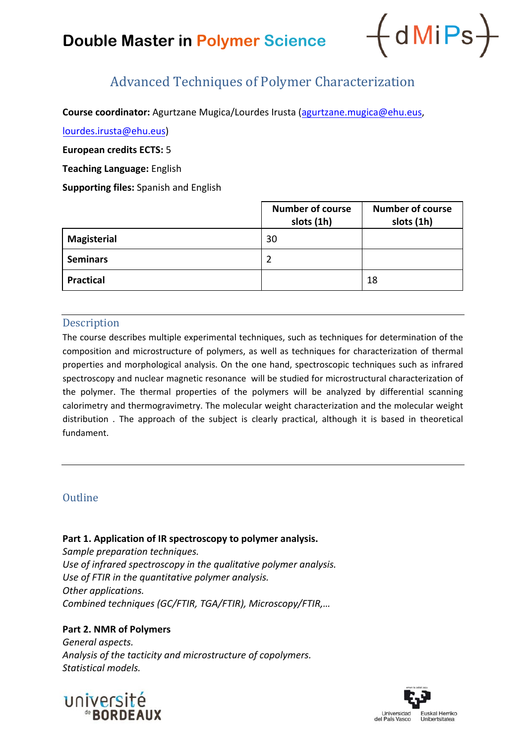# **Double Master in Polymer Science**



# Advanced Techniques of Polymer Characterization

**Course coordinator:** Agurtzane Mugica/Lourdes Irusta (agurtzane.mugica@ehu.eus,

lourdes.irusta@ehu.eus)

**European credits ECTS:** 5

**Teaching Language:** English

**Supporting files:** Spanish and English

|                    | <b>Number of course</b><br>slots (1h) | <b>Number of course</b><br>slots (1h) |
|--------------------|---------------------------------------|---------------------------------------|
| <b>Magisterial</b> | 30                                    |                                       |
| <b>Seminars</b>    | 2                                     |                                       |
| <b>Practical</b>   |                                       | 18                                    |

#### **Description**

The course describes multiple experimental techniques, such as techniques for determination of the composition and microstructure of polymers, as well as techniques for characterization of thermal properties and morphological analysis. On the one hand, spectroscopic techniques such as infrared spectroscopy and nuclear magnetic resonance will be studied for microstructural characterization of the polymer. The thermal properties of the polymers will be analyzed by differential scanning calorimetry and thermogravimetry. The molecular weight characterization and the molecular weight distribution . The approach of the subject is clearly practical, although it is based in theoretical fundament.

## **Outline**

**Part 1. Application of IR spectroscopy to polymer analysis.** 

*Sample preparation techniques. Use of infrared spectroscopy in the qualitative polymer analysis. Use of FTIR in the quantitative polymer analysis. Other applications. Combined techniques (GC/FTIR, TGA/FTIR), Microscopy/FTIR,…*

### **Part 2. NMR of Polymers**

*General aspects. Analysis of the tacticity and microstructure of copolymers. Statistical models.*